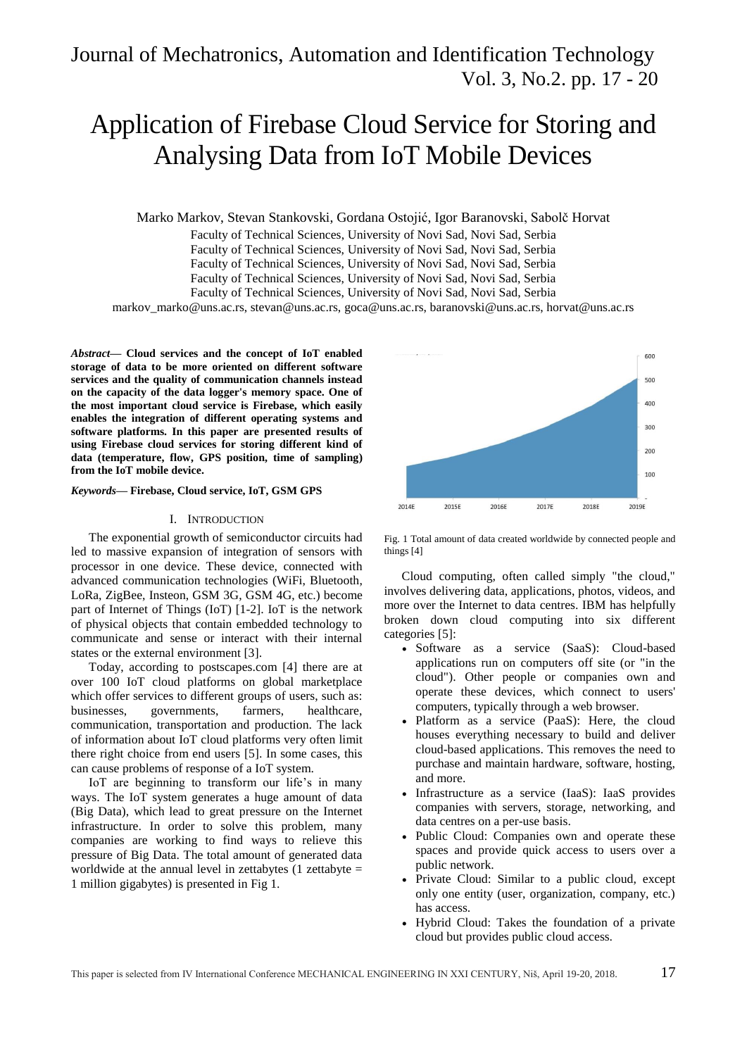# Journal of Mechatronics, Automation and Identification Technology Vol. 3, No.2. pp. 17 - 20

# Application of Firebase Cloud Service for Storing and Analysing Data from IoT Mobile Devices

Marko Markov, Stevan Stankovski, Gordana Ostojić, Igor Baranovski, Sabolč Horvat

Faculty of Technical Sciences, University of Novi Sad, Novi Sad, Serbia

Faculty of Technical Sciences, University of Novi Sad, Novi Sad, Serbia

Faculty of Technical Sciences, University of Novi Sad, Novi Sad, Serbia

Faculty of Technical Sciences, University of Novi Sad, Novi Sad, Serbia

Faculty of Technical Sciences, University of Novi Sad, Novi Sad, Serbia

markov\_marko@uns.ac.rs, stevan@uns.ac.rs, goca@uns.ac.rs, baranovski@uns.ac.rs, horvat@uns.ac.rs

*Abstract***— Cloud services and the concept of IoT enabled storage of data to be more oriented on different software services and the quality of communication channels instead on the capacity of the data logger's memory space. One of the most important cloud service is Firebase, which easily enables the integration of different operating systems and software platforms. In this paper are presented results of using Firebase cloud services for storing different kind of data (temperature, flow, GPS position, time of sampling) from the IoT mobile device.**

# *Keywords***— Firebase, Cloud service, IoT, GSM GPS**

# I. INTRODUCTION

The exponential growth of semiconductor circuits had led to massive expansion of integration of sensors with processor in one device. These device, connected with advanced communication technologies (WiFi, Bluetooth, LoRa, ZigBee, Insteon, GSM 3G, GSM 4G, etc.) become part of Internet of Things (IoT) [1-2]. IoT is the network of physical objects that contain embedded technology to communicate and sense or interact with their internal states or the external environment [3].

Today, according to postscapes.com [4] there are at over 100 IoT cloud platforms on global marketplace which offer services to different groups of users, such as: businesses, governments, farmers, healthcare, communication, transportation and production. The lack of information about IoT cloud platforms very often limit there right choice from end users [5]. In some cases, this can cause problems of response of a IoT system.

IoT are beginning to transform our life's in many ways. The IoT system generates a huge amount of data (Big Data), which lead to great pressure on the Internet infrastructure. In order to solve this problem, many companies are working to find ways to relieve this pressure of Big Data. The total amount of generated data worldwide at the annual level in zettabytes (1 zettabyte = 1 million gigabytes) is presented in Fig 1.



Fig. 1 Total amount of data created worldwide by connected people and things [4]

Cloud computing, often called simply "the cloud," involves delivering data, applications, photos, videos, and more over the Internet to data centres. IBM has helpfully broken down cloud computing into six different categories [5]:

- Software as a service (SaaS): Cloud-based applications run on computers off site (or "in the cloud"). Other people or companies own and operate these devices, which connect to users' computers, typically through a web browser.
- Platform as a service (PaaS): Here, the cloud houses everything necessary to build and deliver cloud-based applications. This removes the need to purchase and maintain hardware, software, hosting, and more.
- Infrastructure as a service (IaaS): IaaS provides companies with servers, storage, networking, and data centres on a per-use basis.
- Public Cloud: Companies own and operate these spaces and provide quick access to users over a public network.
- Private Cloud: Similar to a public cloud, except only one entity (user, organization, company, etc.) has access.
- Hybrid Cloud: Takes the foundation of a private cloud but provides public cloud access.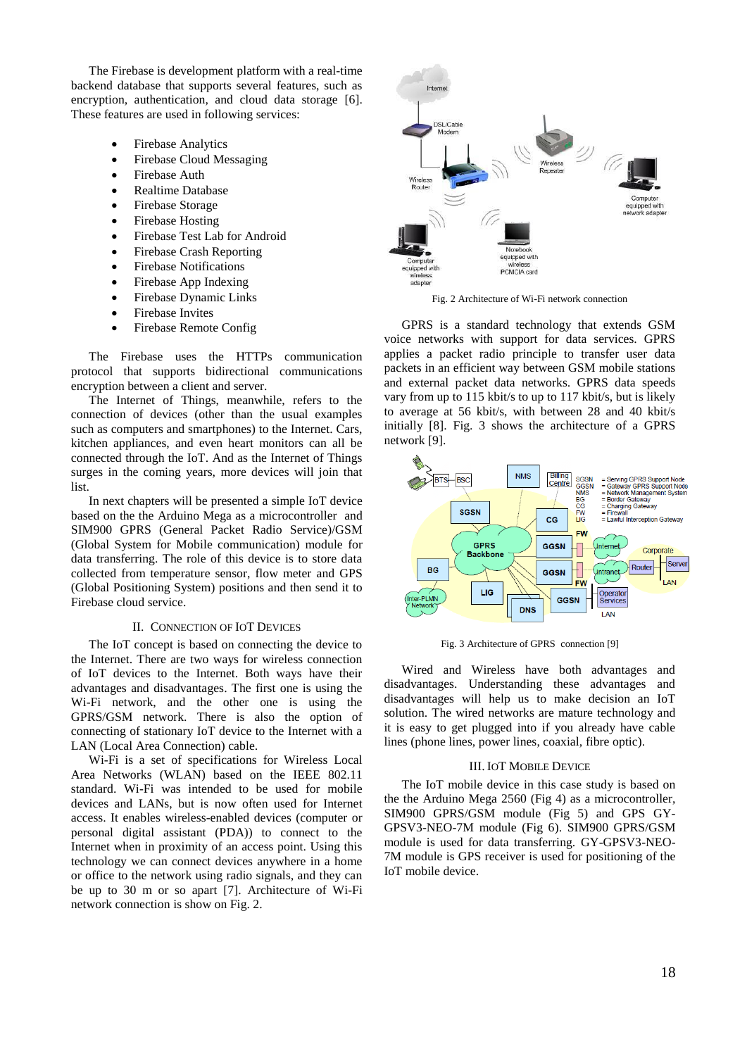The Firebase is development platform with a real-time backend database that supports several features, such as encryption, authentication, and cloud data storage [6]. These features are used in following services:

- Firebase Analytics
- Firebase Cloud Messaging
- Firebase Auth
- Realtime Database
- Firebase Storage
- Firebase Hosting
- Firebase Test Lab for Android
- Firebase Crash Reporting
- Firebase Notifications
- Firebase App Indexing
- Firebase Dynamic Links
- Firebase Invites
- Firebase Remote Config

The Firebase uses the HTTPs communication protocol that supports bidirectional communications encryption between a client and server.

The Internet of Things, meanwhile, refers to the connection of devices (other than the usual examples such as computers and smartphones) to the Internet. Cars, kitchen appliances, and even heart monitors can all be connected through the IoT. And as the Internet of Things surges in the coming years, more devices will join that list.

In next chapters will be presented a simple IoT device based on the the Arduino Mega as a microcontroller and SIM900 GPRS (General Packet Radio Service)/GSM (Global System for Mobile communication) module for data transferring. The role of this device is to store data collected from temperature sensor, flow meter and GPS (Global Positioning System) positions and then send it to Firebase cloud service.

# II. CONNECTION OF IOT DEVICES

The IoT concept is based on connecting the device to the Internet. There are two ways for wireless connection of IoT devices to the Internet. Both ways have their advantages and disadvantages. The first one is using the Wi-Fi network, and the other one is using the GPRS/GSM network. There is also the option of connecting of stationary IoT device to the Internet with a LAN (Local Area Connection) cable.

Wi-Fi is a set of specifications for Wireless Local Area Networks (WLAN) based on the IEEE 802.11 standard. Wi-Fi was intended to be used for mobile devices and LANs, but is now often used for Internet access. It enables wireless-enabled devices (computer or personal digital assistant (PDA)) to connect to the Internet when in proximity of an access point. Using this technology we can connect devices anywhere in a home or office to the network using radio signals, and they can be up to 30 m or so apart [7]. Architecture of Wi-Fi network connection is show on Fig. 2.



Fig. 2 Architecture of Wi-Fi network connection

GPRS is a standard technology that extends GSM voice networks with support for data services. GPRS applies a packet radio principle to transfer user data packets in an efficient way between GSM mobile stations and external packet data networks. GPRS data speeds vary from up to 115 kbit/s to up to 117 kbit/s, but is likely to average at 56 kbit/s, with between 28 and 40 kbit/s initially [8]. Fig. 3 shows the architecture of a GPRS network [9].



Fig. 3 Architecture of GPRS connection [9]

Wired and Wireless have both advantages and disadvantages. Understanding these advantages and disadvantages will help us to make decision an IoT solution. The wired networks are mature technology and it is easy to get plugged into if you already have cable lines (phone lines, power lines, coaxial, fibre optic).

#### III. IOT MOBILE DEVICE

The IoT mobile device in this case study is based on the the Arduino Mega 2560 (Fig 4) as a microcontroller, SIM900 GPRS/GSM module (Fig 5) and GPS GY-GPSV3-NEO-7M module (Fig 6). SIM900 GPRS/GSM module is used for data transferring. GY-GPSV3-NEO-7M module is GPS receiver is used for positioning of the IoT mobile device.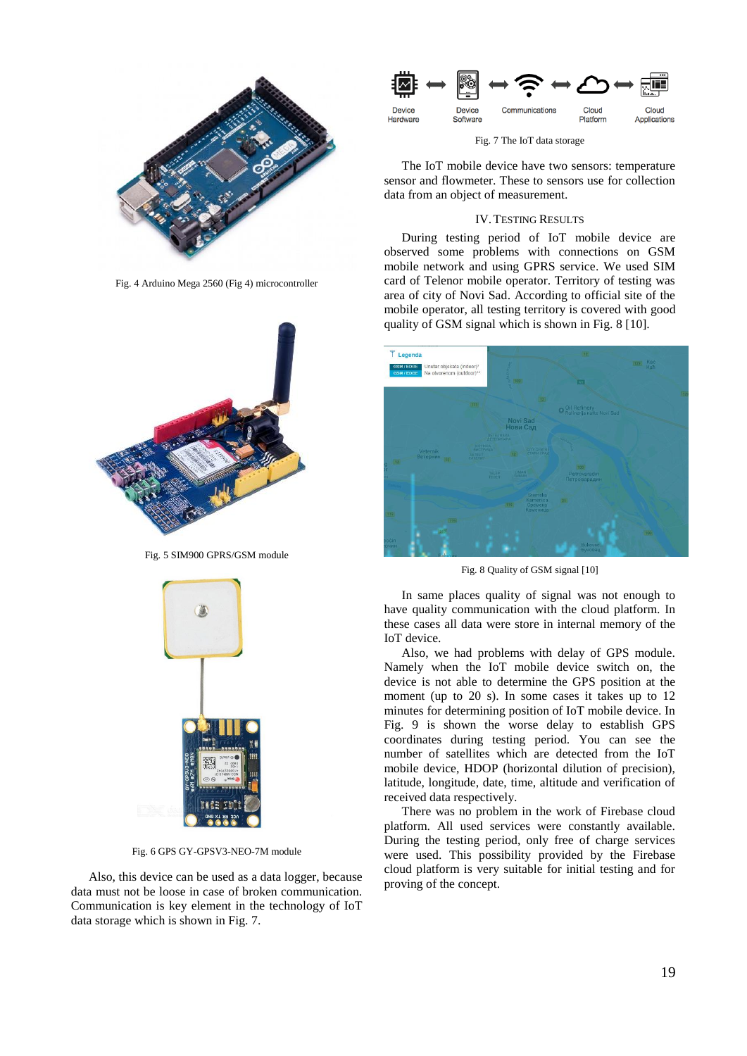

Fig. 4 Arduino Mega 2560 (Fig 4) microcontroller



Fig. 5 SIM900 GPRS/GSM module



Fig. 6 GPS GY-GPSV3-NEO-7M module

Also, this device can be used as a data logger, because data must not be loose in case of broken communication. Communication is key element in the technology of IoT data storage which is shown in Fig. 7.



Fig. 7 The IoT data storage

The IoT mobile device have two sensors: temperature sensor and flowmeter. These to sensors use for collection data from an object of measurement.

# IV.TESTING RESULTS

During testing period of IoT mobile device are observed some problems with connections on GSM mobile network and using GPRS service. We used SIM card of Telenor mobile operator. Territory of testing was area of city of Novi Sad. According to official site of the mobile operator, all testing territory is covered with good quality of GSM signal which is shown in Fig. 8 [10].



Fig. 8 Quality of GSM signal [10]

In same places quality of signal was not enough to have quality communication with the cloud platform. In these cases all data were store in internal memory of the IoT device.

Also, we had problems with delay of GPS module. Namely when the IoT mobile device switch on, the device is not able to determine the GPS position at the moment (up to 20 s). In some cases it takes up to 12 minutes for determining position of IoT mobile device. In Fig. 9 is shown the worse delay to establish GPS coordinates during testing period. You can see the number of satellites which are detected from the IoT mobile device, HDOP (horizontal dilution of precision), latitude, longitude, date, time, altitude and verification of received data respectively.

There was no problem in the work of Firebase cloud platform. All used services were constantly available. During the testing period, only free of charge services were used. This possibility provided by the Firebase cloud platform is very suitable for initial testing and for proving of the concept.